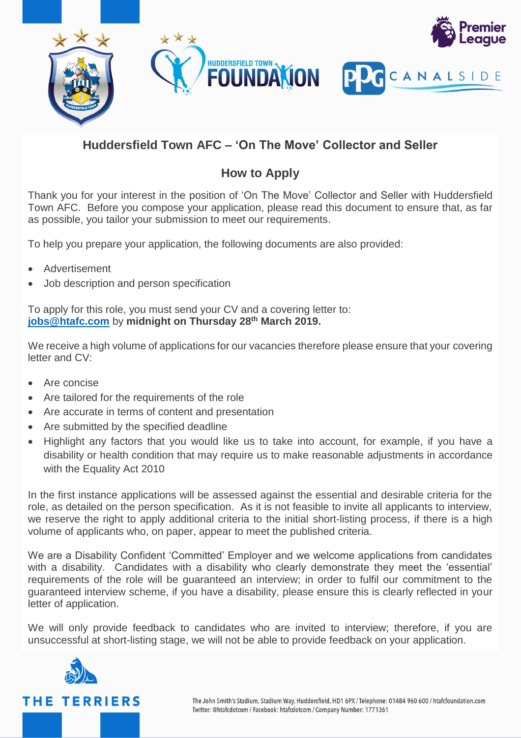

## **Huddersfield Town AFC – 'On The Move' Collector and Seller**

## **How to Apply**

Thank you for your interest in the position of 'On The Move' Collector and Seller with Huddersfield Town AFC. Before you compose your application, please read this document to ensure that, as far as possible, you tailor your submission to meet our requirements.

To help you prepare your application, the following documents are also provided:

- Advertisement
- Job description and person specification

To apply for this role, you must send your CV and a covering letter to: **[jobs@htafc.com](mailto:jobs@htafc.com)** by **midnight on Thursday 28th March 2019.**

We receive a high volume of applications for our vacancies therefore please ensure that your covering letter and CV:

- Are concise
- Are tailored for the requirements of the role
- Are accurate in terms of content and presentation
- Are submitted by the specified deadline
- Highlight any factors that you would like us to take into account, for example, if you have a disability or health condition that may require us to make reasonable adjustments in accordance with the Equality Act 2010

In the first instance applications will be assessed against the essential and desirable criteria for the role, as detailed on the person specification. As it is not feasible to invite all applicants to interview, we reserve the right to apply additional criteria to the initial short-listing process, if there is a high volume of applicants who, on paper, appear to meet the published criteria.

We are a Disability Confident 'Committed' Employer and we welcome applications from candidates with a disability. Candidates with a disability who clearly demonstrate they meet the 'essential' requirements of the role will be guaranteed an interview; in order to fulfil our commitment to the guaranteed interview scheme, if you have a disability, please ensure this is clearly reflected in your letter of application.

We will only provide feedback to candidates who are invited to interview; therefore, if you are unsuccessful at short-listing stage, we will not be able to provide feedback on your application.